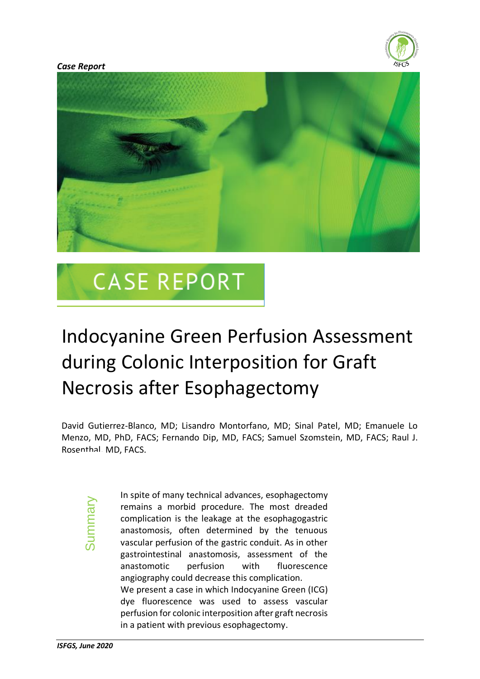



# **CASE REPORT**

# Indocyanine Green Perfusion Assessment during Colonic Interposition for Graft Necrosis after Esophagectomy

David Gutierrez-Blanco, MD; Lisandro Montorfano, MD; Sinal Patel, MD; Emanuele Lo Menzo, MD, PhD, FACS; Fernando Dip, MD, FACS; Samuel Szomstein, MD, FACS; Raul J. Rosenthal, MD, FACS.

Summary

In spite of many technical advances, esophagectomy remains a morbid procedure. The most dreaded complication is the leakage at the esophagogastric anastomosis, often determined by the tenuous vascular perfusion of the gastric conduit. As in other gastrointestinal anastomosis, assessment of the anastomotic perfusion with fluorescence angiography could decrease this complication. We present a case in which Indocyanine Green (ICG) dye fluorescence was used to assess vascular perfusion for colonic interposition after graft necrosis in a patient with previous esophagectomy.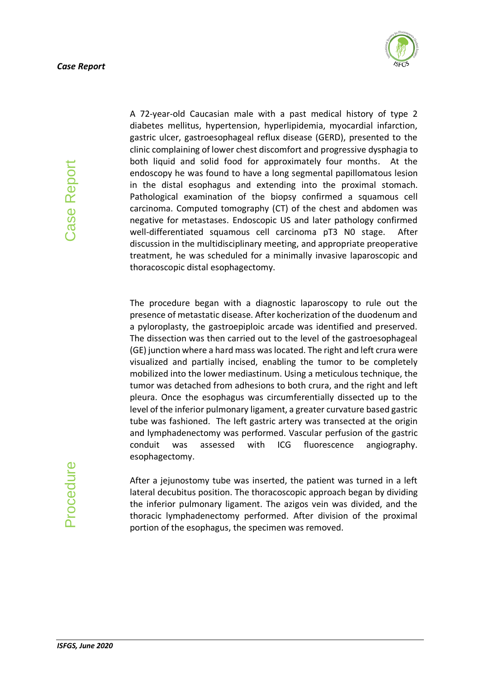

Case Report *ISFGS, June 2020* Case Report A 72-year-old Caucasian male with a past medical history of type 2 diabetes mellitus, hypertension, hyperlipidemia, myocardial infarction, gastric ulcer, gastroesophageal reflux disease (GERD), presented to the clinic complaining of lower chest discomfort and progressive dysphagia to both liquid and solid food for approximately four months. At the endoscopy he was found to have a long segmental papillomatous lesion in the distal esophagus and extending into the proximal stomach. Pathological examination of the biopsy confirmed a squamous cell carcinoma. Computed tomography (CT) of the chest and abdomen was negative for metastases. Endoscopic US and later pathology confirmed well-differentiated squamous cell carcinoma pT3 N0 stage. After discussion in the multidisciplinary meeting, and appropriate preoperative treatment, he was scheduled for a minimally invasive laparoscopic and thoracoscopic distal esophagectomy.

The procedure began with a diagnostic laparoscopy to rule out the presence of metastatic disease. After kocherization of the duodenum and a pyloroplasty, the gastroepiploic arcade was identified and preserved. The dissection was then carried out to the level of the gastroesophageal (GE) junction where a hard mass was located. The right and left crura were visualized and partially incised, enabling the tumor to be completely mobilized into the lower mediastinum. Using a meticulous technique, the tumor was detached from adhesions to both crura, and the right and left pleura. Once the esophagus was circumferentially dissected up to the level of the inferior pulmonary ligament, a greater curvature based gastric tube was fashioned. The left gastric artery was transected at the origin and lymphadenectomy was performed. Vascular perfusion of the gastric conduit was assessed with ICG fluorescence angiography. esophagectomy.

After a jejunostomy tube was inserted, the patient was turned in a left lateral decubitus position. The thoracoscopic approach began by dividing the inferior pulmonary ligament. The azigos vein was divided, and the thoracic lymphadenectomy performed. After division of the proximal portion of the esophagus, the specimen was removed.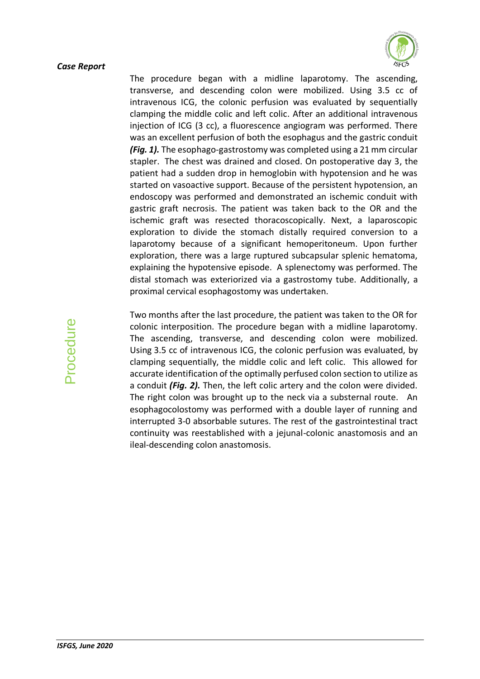

The procedure began with a midline laparotomy. The ascending, transverse, and descending colon were mobilized. Using 3.5 cc of intravenous ICG, the colonic perfusion was evaluated by sequentially clamping the middle colic and left colic. After an additional intravenous injection of ICG (3 cc), a fluorescence angiogram was performed. There was an excellent perfusion of both the esophagus and the gastric conduit *(Fig. 1).* The esophago-gastrostomy was completed using a 21 mm circular stapler. The chest was drained and closed. On postoperative day 3, the patient had a sudden drop in hemoglobin with hypotension and he was started on vasoactive support. Because of the persistent hypotension, an endoscopy was performed and demonstrated an ischemic conduit with gastric graft necrosis. The patient was taken back to the OR and the ischemic graft was resected thoracoscopically. Next, a laparoscopic exploration to divide the stomach distally required conversion to a laparotomy because of a significant hemoperitoneum. Upon further exploration, there was a large ruptured subcapsular splenic hematoma, explaining the hypotensive episode. A splenectomy was performed. The distal stomach was exteriorized via a gastrostomy tube. Additionally, a proximal cervical esophagostomy was undertaken.

Two months after the last procedure, the patient was taken to the OR for colonic interposition. The procedure began with a midline laparotomy. The ascending, transverse, and descending colon were mobilized. Using 3.5 cc of intravenous ICG, the colonic perfusion was evaluated, by clamping sequentially, the middle colic and left colic. This allowed for accurate identification of the optimally perfused colon section to utilize as a conduit *(Fig. 2).* Then, the left colic artery and the colon were divided. The right colon was brought up to the neck via a substernal route. An esophagocolostomy was performed with a double layer of running and interrupted 3-0 absorbable sutures. The rest of the gastrointestinal tract continuity was reestablished with a jejunal-colonic anastomosis and an ileal-descending colon anastomosis.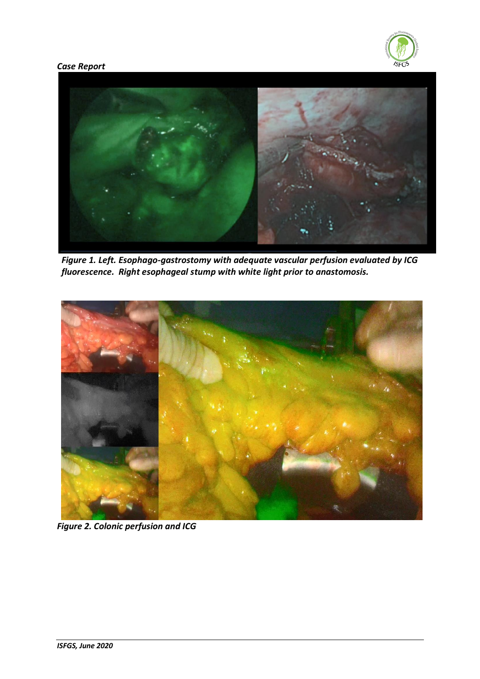



*Figure 1. Left. Esophago-gastrostomy with adequate vascular perfusion evaluated by ICG fluorescence. Right esophageal stump with white light prior to anastomosis.*



*Figure 2. Colonic perfusion and ICG*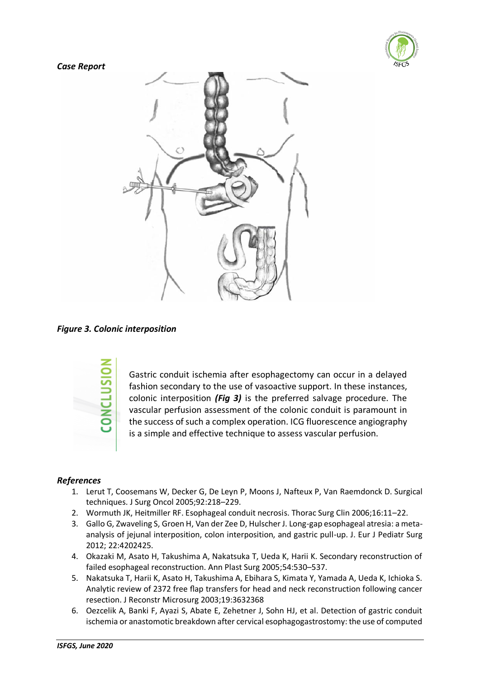



*Figure 3. Colonic interposition*



Gastric conduit ischemia after esophagectomy can occur in a delayed fashion secondary to the use of vasoactive support. In these instances, colonic interposition *(Fig 3)* is the preferred salvage procedure. The vascular perfusion assessment of the colonic conduit is paramount in the success of such a complex operation. ICG fluorescence angiography is a simple and effective technique to assess vascular perfusion.

# *References*

- 1. Lerut T, Coosemans W, Decker G, De Leyn P, Moons J, Nafteux P, Van Raemdonck D. Surgical techniques. J Surg Oncol 2005;92:218–229.
- 2. Wormuth JK, Heitmiller RF. Esophageal conduit necrosis. Thorac Surg Clin 2006;16:11–22.
- 3. Gallo G, Zwaveling S, Groen H, Van der Zee D, Hulscher J. Long-gap esophageal atresia: a metaanalysis of jejunal interposition, colon interposition, and gastric pull-up. J. Eur J Pediatr Surg 2012; 22:4202425.
- 4. Okazaki M, Asato H, Takushima A, Nakatsuka T, Ueda K, Harii K. Secondary reconstruction of failed esophageal reconstruction. Ann Plast Surg 2005;54:530–537.
- 5. Nakatsuka T, Harii K, Asato H, Takushima A, Ebihara S, Kimata Y, Yamada A, Ueda K, Ichioka S. Analytic review of 2372 free flap transfers for head and neck reconstruction following cancer resection. J Reconstr Microsurg 2003;19:3632368
- 6. Oezcelik A, Banki F, Ayazi S, Abate E, Zehetner J, Sohn HJ, et al. Detection of gastric conduit ischemia or anastomotic breakdown after cervical esophagogastrostomy: the use of computed